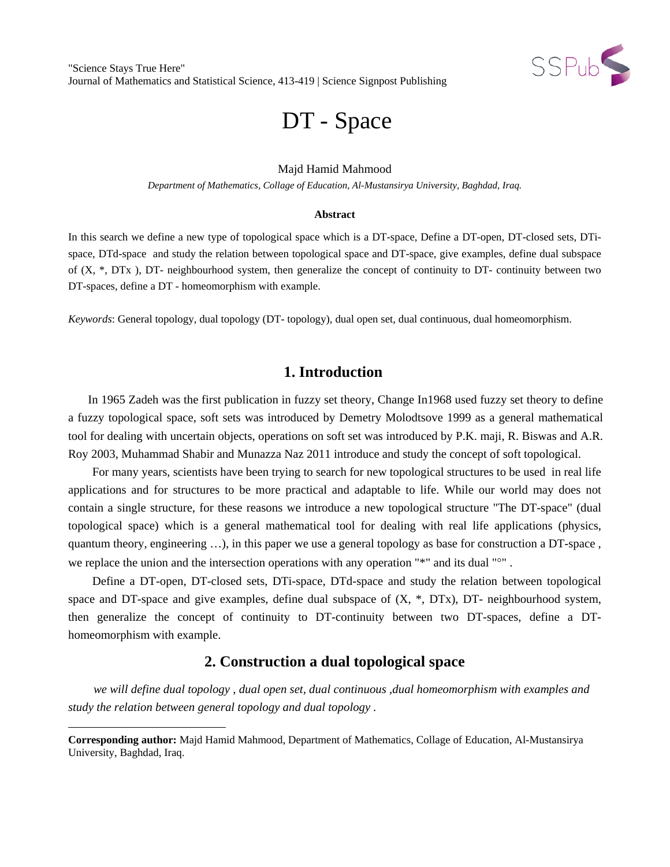

# DT - Space

## Majd Hamid Mahmood

*Department of Mathematics, Collage of Education, Al-Mustansirya University, Baghdad, Iraq.*

#### **Abstract**

In this search we define a new type of topological space which is a DT-space, Define a DT-open, DT-closed sets, DTispace, DTd-space and study the relation between topological space and DT-space, give examples, define dual subspace of (X, \*, DTx ), DT- neighbourhood system, then generalize the concept of continuity to DT- continuity between two DT-spaces, define a DT - homeomorphism with example.

*Keywords*: General topology, dual topology (DT- topology), dual open set, dual continuous, dual homeomorphism.

## **1. Introduction**

 In 1965 Zadeh was the first publication in fuzzy set theory, Change In1968 used fuzzy set theory to define a fuzzy topological space, soft sets was introduced by Demetry Molodtsove 1999 as a general mathematical tool for dealing with uncertain objects, operations on soft set was introduced by P.K. maji, R. Biswas and A.R. Roy 2003, Muhammad Shabir and Munazza Naz 2011 introduce and study the concept of soft topological.

 For many years, scientists have been trying to search for new topological structures to be used in real life applications and for structures to be more practical and adaptable to life. While our world may does not contain a single structure, for these reasons we introduce a new topological structure "The DT-space" (dual topological space) which is a general mathematical tool for dealing with real life applications (physics, quantum theory, engineering …), in this paper we use a general topology as base for construction a DT-space , we replace the union and the intersection operations with any operation "\*" and its dual "<sup>o"</sup>.

 Define a DT-open, DT-closed sets, DTi-space, DTd-space and study the relation between topological space and DT-space and give examples, define dual subspace of  $(X, *, DTx)$ , DT- neighbourhood system, then generalize the concept of continuity to DT-continuity between two DT-spaces, define a DThomeomorphism with example.

## **2. Construction a dual topological space**

*we will define dual topology , dual open set, dual continuous ,dual homeomorphism with examples and study the relation between general topology and dual topology .*

 $\overline{\phantom{a}}$ 

<span id="page-0-0"></span>**Corresponding author:** Majd Hamid Mahmood, Department of Mathematics, Collage of Education, Al-Mustansirya University, Baghdad, Iraq.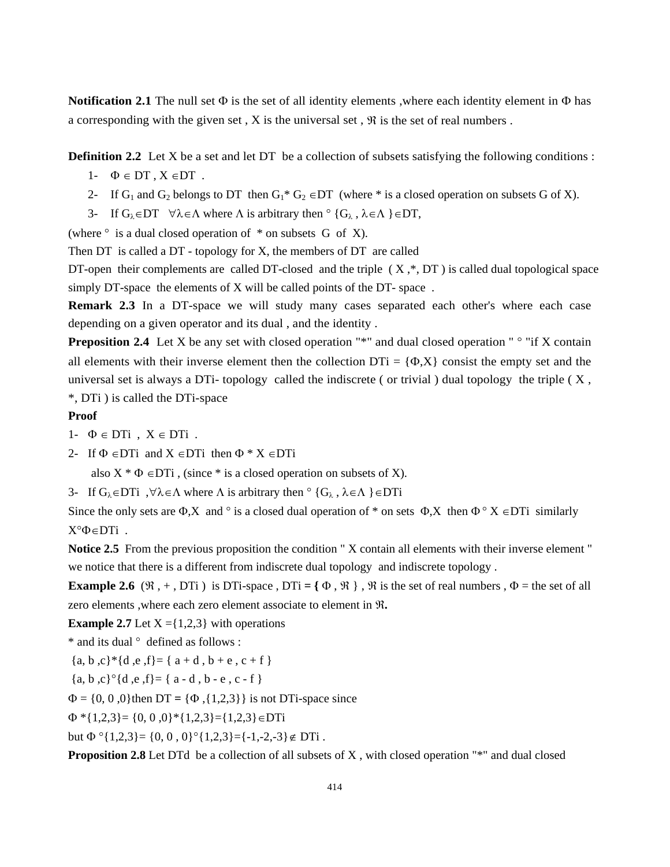**Notification 2.1** The null set Φ is the set of all identity elements ,where each identity element in Φ has a corresponding with the given set,  $X$  is the universal set,  $\Re$  is the set of real numbers.

**Definition 2.2** Let X be a set and let DT be a collection of subsets satisfying the following conditions :

- 1-  $\Phi \in DT$ ,  $X \in DT$ .
- 2- If G<sub>1</sub> and G<sub>2</sub> belongs to DT then G<sub>1</sub>\* G<sub>2</sub> ∈DT (where \* is a closed operation on subsets G of X).
- 3- If  $G_{\lambda} \in DT$   $\forall \lambda \in \Lambda$  where  $\Lambda$  is arbitrary then  $\circ$  { $G_{\lambda}$ ,  $\lambda \in \Lambda$  } $\in DT$ ,

(where  $\circ$  is a dual closed operation of  $*$  on subsets G of X).

Then DT is called a DT - topology for X, the members of DT are called

DT-open their complements are called DT-closed and the triple  $(X,*, DT)$  is called dual topological space simply DT-space the elements of X will be called points of the DT-space.

**Remark 2.3** In a DT-space we will study many cases separated each other's where each case depending on a given operator and its dual , and the identity .

**Preposition 2.4** Let X be any set with closed operation "\*" and dual closed operation "  $\circ$  "if X contain all elements with their inverse element then the collection  $DTi = {\Phi, X}$  consist the empty set and the universal set is always a DTi- topology called the indiscrete ( or trivial ) dual topology the triple ( X , \*, DTi ) is called the DTi-space

#### **Proof**

- 1-  $\Phi \in DTi$ ,  $X \in DTi$ .
- 2- If  $\Phi \in DT$ i and  $X \in DT$ i then  $\Phi * X \in DT$ i

also  $X * \Phi \in DTi$ , (since \* is a closed operation on subsets of X).

3- If  $G_{\lambda} \in DT$ i,  $\forall \lambda \in \Lambda$  where  $\Lambda$  is arbitrary then  $\circ$  { $G_{\lambda}$ ,  $\lambda \in \Lambda$ } $\in DT$ i

Since the only sets are  $\Phi$ ,X and ° is a closed dual operation of \* on sets  $\Phi$ ,X then  $\Phi$  ° X  $\in$ DTi similarly X°Φ∈DTi .

**Notice 2.5** From the previous proposition the condition " X contain all elements with their inverse element " we notice that there is a different from indiscrete dual topology and indiscrete topology .

**Example 2.6**  $(\mathfrak{R}, +, DTi)$  is DTi-space, DTi = { $\Phi$ ,  $\mathfrak{R}$ },  $\mathfrak{R}$  is the set of real numbers,  $\Phi$  = the set of all zero elements ,where each zero element associate to element in ℜ**.**

**Example 2.7** Let  $X = \{1,2,3\}$  with operations

\* and its dual ° defined as follows :

$$
\{a, b, c\}^*\{d, e, f\} = \{a + d, b + e, c + f\}
$$

 ${a, b, c}^{c} {d, e, f} = { a - d, b - e, c - f }$ 

 $Φ = {0, 0, 0}$  then DT =  ${Φ, {1,2,3}}$  is not DTi-space since

 $\Phi$  \*{1,2,3}= {0, 0,0} \*{1,2,3}={1,2,3}  $\in$ DTi

but  $\Phi$  °{1,2,3}= {0, 0, 0}°{1,2,3}={-1,-2,-3}  $\notin$  DTi.

**Proposition 2.8** Let DTd be a collection of all subsets of X, with closed operation "\*" and dual closed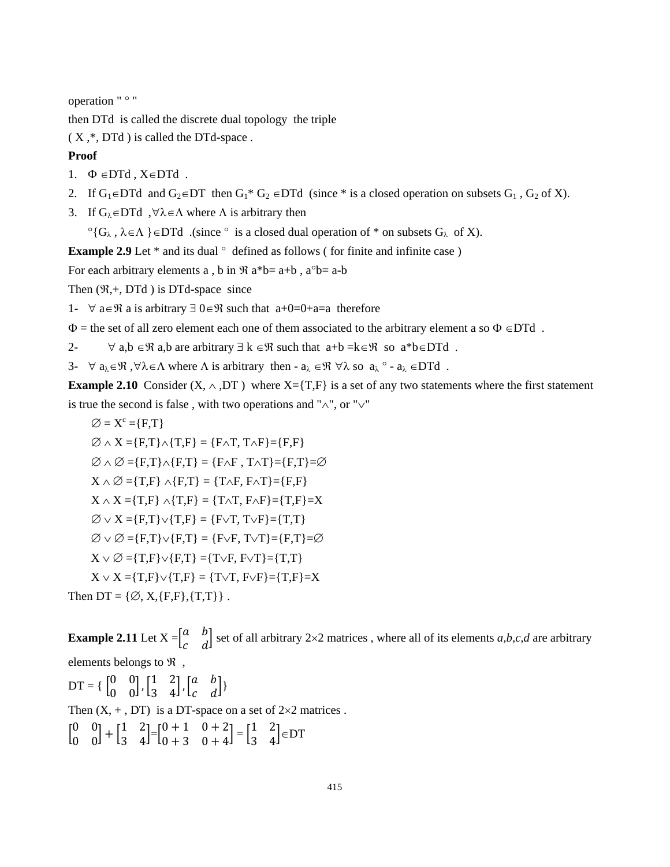operation " ° "

then DTd is called the discrete dual topology the triple

 $(X,*, DTd)$  is called the DTd-space.

## **Proof**

- 1.  $\Phi \in \text{DTd}$ ,  $X \in \text{DTd}$ .
- 2. If  $G_1 \in \text{DTd}$  and  $G_2 \in \text{DT}$  then  $G_1^* G_2 \in \text{DTd}$  (since \* is a closed operation on subsets  $G_1$ ,  $G_2$  of X).

3. If  $G_{\lambda} \in \text{DTd}$ ,  $\forall \lambda \in \Lambda$  where  $\Lambda$  is arbitrary then

 $\circ$ {G<sub> $\lambda$ </sub>,  $\lambda \in \Lambda$ }∈DTd. (since  $\circ$  is a closed dual operation of \* on subsets G<sub> $\lambda$ </sub> of X).

**Example 2.9** Let \* and its dual  $\circ$  defined as follows (for finite and infinite case)

For each arbitrary elements a, b in  $\Re$  a\*b= a+b, a°b= a-b

Then  $(\mathfrak{R}, +$ , DTd ) is DTd-space since

1-  $\forall$  a∈ $\Re$  a is arbitrary  $\exists$  0∈ $\Re$  such that a+0=0+a=a therefore

 $\Phi$  = the set of all zero element each one of them associated to the arbitrary element a so  $\Phi \in \text{DTd}$ .

2-  $\forall$  a,b  $\in \mathcal{R}$  a,b are arbitrary  $\exists k \in \mathcal{R}$  such that  $a+b = k \in \mathcal{R}$  so  $a^*b \in DTd$ .

3-  $\forall$  a<sub> $\lambda \in \mathcal{R}$ </sub>,  $\forall \lambda \in \Lambda$  where  $\Lambda$  is arbitrary then -  $a_{\lambda} \in \mathcal{R}$   $\forall \lambda$  so  $a_{\lambda} \circ a_{\lambda} \in \mathcal{D}$  and  $\Lambda$ .

**Example 2.10** Consider (X,  $\land$ , DT) where X={T,F} is a set of any two statements where the first statement is true the second is false , with two operations and "∧", or "∨"

 $\varnothing = X^c = \{F,T\}$  $\emptyset \wedge X = \{F,T\} \wedge \{T,F\} = \{F \wedge T, T \wedge F\} = \{F,F\}$  $\emptyset \wedge \emptyset = \{F,T\} \wedge \{F,T\} = \{F \wedge F, T \wedge T\} = \{F,T\} = \emptyset$  $X \wedge \emptyset = \{T,F\} \wedge \{F,T\} = \{T \wedge F, F \wedge T\} = \{F,F\}$  $X \wedge X = \{T, F\} \wedge \{T, F\} = \{T \wedge T, F \wedge F\} = \{T, F\} = X$  $\varnothing \vee X = \{F,T\} \vee \{T,F\} = \{F \vee T, T \vee F\} = \{T,T\}$  $\emptyset \vee \emptyset = \{F,T\} \vee \{F,T\} = \{F \vee F, T \vee T\} = \{F,T\} = \emptyset$  $X \vee \emptyset = \{T,F\} \vee \{F,T\} = \{T \vee F, F \vee T\} = \{T,T\}$  $X \vee X = \{T, F\} \vee \{T, F\} = \{T \vee T, F \vee F\} = \{T, F\} = X$ Then DT =  $\{\emptyset, X, \{F, F\}, \{T, T\}\}\$ .

**Example 2.11** Let  $X = \begin{bmatrix} a & b \\ c & d \end{bmatrix}$  $\begin{bmatrix} a & b \\ c & d \end{bmatrix}$  set of all arbitrary 2×2 matrices, where all of its elements *a*,*b*,*c*,*d* are arbitrary elements belongs to  $\Re$ ,

 $DT = \begin{bmatrix} 0 & 0 \\ 0 & 0 \end{bmatrix}$  $\begin{bmatrix} 0 & 0 \\ 0 & 0 \end{bmatrix}$ ,  $\begin{bmatrix} 1 & 2 \\ 3 & 4 \end{bmatrix}$  $\begin{bmatrix} 1 & 2 \\ 3 & 4 \end{bmatrix}$ ,  $\begin{bmatrix} a & b \\ c & d \end{bmatrix}$  $\begin{bmatrix} a & b \\ c & d \end{bmatrix}$ Then  $(X, +, DT)$  is a DT-space on a set of  $2 \times 2$  matrices.  $\begin{bmatrix} 0 & 0 \\ 0 & 0 \end{bmatrix}$  $\begin{bmatrix} 0 & 0 \\ 0 & 0 \end{bmatrix} + \begin{bmatrix} 1 & 2 \\ 3 & 4 \end{bmatrix}$  $\begin{bmatrix} 1 & 2 \\ 3 & 4 \end{bmatrix} = \begin{bmatrix} 0+1 & 0+2 \\ 0+3 & 0+4 \end{bmatrix}$  $\begin{bmatrix} 0+1 & 0+2 \\ 0+3 & 0+4 \end{bmatrix} = \begin{bmatrix} 1 & 2 \\ 3 & 4 \end{bmatrix}$  $\begin{bmatrix} 1 & 2 \\ 3 & 4 \end{bmatrix} \in DT$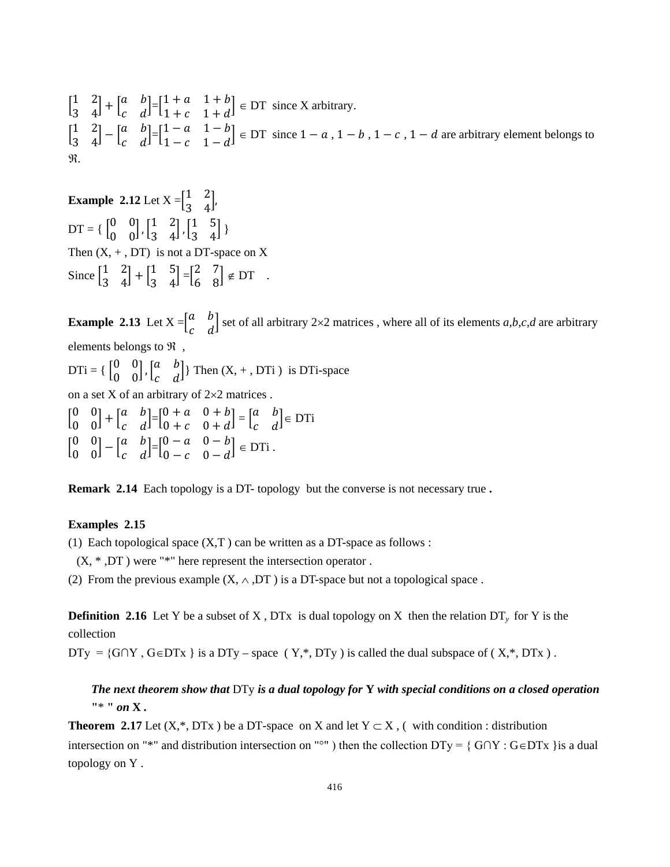$\begin{bmatrix} 1 & 2 \\ 3 & 4 \end{bmatrix}$  $\begin{bmatrix} 1 & 2 \\ 3 & 4 \end{bmatrix} + \begin{bmatrix} a & b \\ c & d \end{bmatrix}$  $\begin{bmatrix} a & b \\ c & d \end{bmatrix} = \begin{bmatrix} 1+a & 1+b \\ 1+c & 1+d \end{bmatrix}$  $\begin{bmatrix} 1 + a & 1 + b \\ 1 + c & 1 + d \end{bmatrix} \in \text{DT}$  since X arbitrary.  $\begin{bmatrix} 1 & 2 \\ 3 & 4 \end{bmatrix}$  $\begin{bmatrix} 1 & 2 \\ 3 & 4 \end{bmatrix} - \begin{bmatrix} a & b \\ c & d \end{bmatrix}$  $\begin{bmatrix} a & b \\ c & d \end{bmatrix} = \begin{bmatrix} 1-a & 1-b \\ 1-c & 1-d \end{bmatrix}$  $\begin{bmatrix} 1 - a & 1 - b \\ 1 - c & 1 - d \end{bmatrix} \in \text{DT}$  since  $1 - a$ ,  $1 - b$ ,  $1 - c$ ,  $1 - d$  are arbitrary element belongs to ℜ.

**Example** 2.12 Let  $X = \begin{bmatrix} 1 & 2 \\ 3 & 4 \end{bmatrix}$  $\frac{1}{3}$   $\frac{1}{4}$  $DT = \begin{bmatrix} 0 & 0 \\ 0 & 0 \end{bmatrix}$  $\begin{bmatrix} 0 & 0 \\ 0 & 0 \end{bmatrix}$ ,  $\begin{bmatrix} 1 & 2 \\ 3 & 4 \end{bmatrix}$  $\begin{bmatrix} 1 & 2 \\ 3 & 4 \end{bmatrix}$ ,  $\begin{bmatrix} 1 & 5 \\ 3 & 4 \end{bmatrix}$  $\begin{bmatrix} 1 & 3 \\ 3 & 4 \end{bmatrix}$ Then  $(X, +, DT)$  is not a DT-space on X Since  $\begin{bmatrix} 1 & 2 \\ 3 & 4 \end{bmatrix}$  $\begin{bmatrix} 1 & 2 \\ 3 & 4 \end{bmatrix} + \begin{bmatrix} 1 & 5 \\ 3 & 4 \end{bmatrix}$  $\begin{bmatrix} 1 & 5 \\ 3 & 4 \end{bmatrix} = \begin{bmatrix} 2 & 7 \\ 6 & 8 \end{bmatrix}$  $\begin{bmatrix} 2 & 7 \\ 6 & 8 \end{bmatrix} \notin DT$ .

**Example 2.13** Let  $X = \begin{bmatrix} a & b \\ c & d \end{bmatrix}$  $\begin{bmatrix} a & b \\ c & d \end{bmatrix}$  set of all arbitrary 2×2 matrices, where all of its elements *a*,*b*,*c*,*d* are arbitrary elements belongs to  $\Re$ .  $DTi = \begin{cases} 0 & 0 \\ 0 & 0 \end{cases}$  $\begin{bmatrix} 0 & 0 \\ 0 & 0 \end{bmatrix}$ ,  $\begin{bmatrix} a & b \\ c & d \end{bmatrix}$  $\begin{bmatrix} a & b \\ c & d \end{bmatrix}$  Then  $(X, +, DTi)$  is DTi-space on a set X of an arbitrary of 2×2 matrices .  $\begin{bmatrix} 0 & 0 \\ 0 & 0 \end{bmatrix}$  $\begin{bmatrix} 0 & 0 \\ 0 & 0 \end{bmatrix} + \begin{bmatrix} a & b \\ c & d \end{bmatrix}$  $\begin{bmatrix} a & b \\ c & d \end{bmatrix} = \begin{bmatrix} 0+a & 0+b \\ 0+c & 0+d \end{bmatrix}$  $\begin{bmatrix} 0+a & 0+b \\ 0+c & 0+d \end{bmatrix} = \begin{bmatrix} a & b \\ c & d \end{bmatrix}$  $\begin{bmatrix} a & b \\ c & d \end{bmatrix} \in DTi$  $\begin{bmatrix} 0 & 0 \\ 0 & 0 \end{bmatrix}$  $\begin{bmatrix} 0 & 0 \\ 0 & 0 \end{bmatrix} - \begin{bmatrix} a & b \\ c & d \end{bmatrix}$  $\begin{bmatrix} a & b \\ c & d \end{bmatrix} = \begin{bmatrix} 0 - a & 0 - b \\ 0 - c & 0 - d \end{bmatrix}$  $\begin{bmatrix} 0 - a & 0 - b \\ 0 - c & 0 - d \end{bmatrix} \in DTi.$ 

**Remark 2.14** Each topology is a DT- topology but the converse is not necessary true **.**

## **Examples 2.15**

(1) Each topological space  $(X,T)$  can be written as a DT-space as follows :

 $(X, * ,DT)$  were "\*" here represent the intersection operator.

(2) From the previous example  $(X, \wedge, DT)$  is a DT-space but not a topological space.

**Definition 2.16** Let Y be a subset of X, DTx is dual topology on X then the relation  $DT_v$  for Y is the collection

DTy = {G∩Y, G∈DTx } is a DTy – space (Y,\*, DTy) is called the dual subspace of (X,\*, DTx).

## *The next theorem show that* DTy *is a dual topology for* **Y** *with special conditions on a closed operation* **"**\* **"** *on* **X** *.*

**Theorem 2.17** Let  $(X,^*, DTX)$  be a DT-space on X and let  $Y \subset X$ , (with condition : distribution intersection on "\*" and distribution intersection on "°" ) then the collection DTy = { G∩Y : G∈DTx }is a dual topology on Y .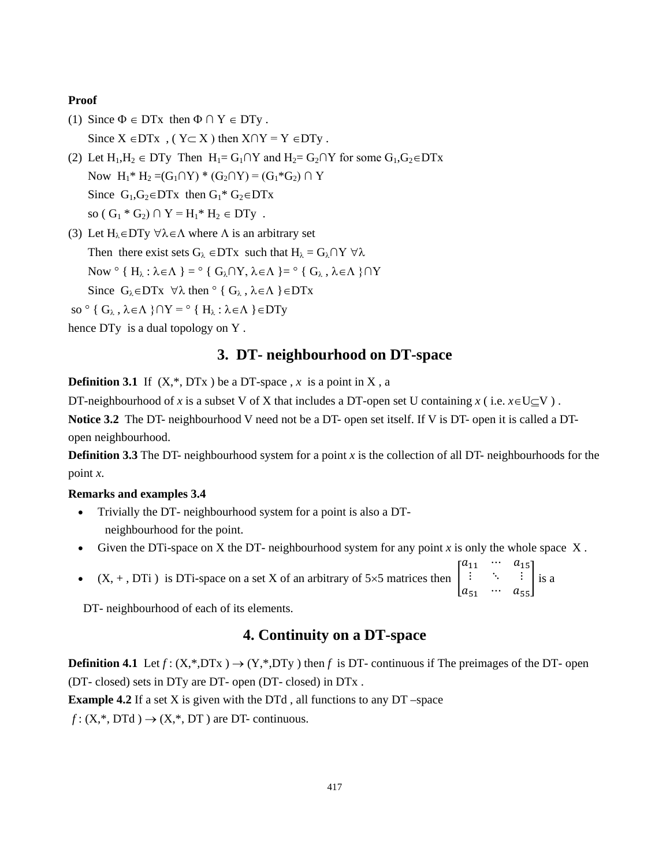### **Proof**

- (1) Since  $\Phi \in DTx$  then  $\Phi \cap Y \in DTy$ . Since  $X \in DTx$ ,  $(Y \subset X)$  then  $X \cap Y = Y \in DTy$ .
- (2) Let  $H_1, H_2 \in DTy$  Then  $H_1 = G_1 \cap Y$  and  $H_2 = G_2 \cap Y$  for some  $G_1, G_2 \in DTx$ Now  $H_1^* H_2 = (G_1 \cap Y)^* (G_2 \cap Y) = (G_1^* G_2) \cap Y$ Since  $G_1, G_2 \in DTx$  then  $G_1^* G_2 \in DTx$ so (  $G_1 * G_2$ )  $\cap Y = H_1 * H_2 \in DTy$ .
- (3) Let  $H_{\lambda} \in DTy \,\forall \lambda \in \Lambda$  where  $\Lambda$  is an arbitrary set Then there exist sets  $G_{\lambda}$  ∈DTx such that  $H_{\lambda} = G_{\lambda} \cap Y \ \forall \lambda$ Now  $\circ$  {  $H_{\lambda}$  :  $\lambda \in \Lambda$  } =  $\circ$  {  $G_{\lambda} \cap Y$ ,  $\lambda \in \Lambda$  } =  $\circ$  {  $G_{\lambda}$ ,  $\lambda \in \Lambda$  }  $\cap Y$ Since  $G_{\lambda} \in DTX$   $\forall \lambda$  then  $\circ \{ G_{\lambda}, \lambda \in \Lambda \} \in DTX$
- so  $\circ$  { G<sub>λ</sub>,  $\lambda \in \Lambda$  }  $\cap$  Y =  $\circ$  { H<sub>λ</sub> :  $\lambda \in \Lambda$  }  $\in$  DTy
- hence DTy is a dual topology on Y .

## **3. DT- neighbourhood on DT-space**

**Definition 3.1** If  $(X,*, DTx)$  be a DT-space, x is a point in X, a

DT-neighbourhood of *x* is a [subset](https://en.wikipedia.org/wiki/Subset) V of X that includes a DT[-open set](https://en.wikipedia.org/wiki/Open_set) U containing *x* (i.e.  $x \in U \subseteq V$ ).

**Notice 3.2** The DT- neighbourhood V need not be a DT- open set itself. If V is DT- open it is called a DTopen neighbourhood.

**Definition 3.3** The DT- neighbourhood system for a point  $x$  is the collection of all DT- [neighbourhoods](https://en.wikipedia.org/wiki/Neighbourhood_(mathematics)) for the point *x*.

### **Remarks and examples 3.4**

- Trivially the DT- neighbourhood system for a point is also a DT neighbourhood for the point.
- Given the DTi-space on X the DT- neighbourhood system for any point *x* is only the whole space X .
- $(X, +, DTi)$  is DTi-space on a set X of an arbitrary of 5×5 matrices then  $a_{11}$  …  $a_{15}$  $\ddot{\textbf{i}}$  $a_{51}$  …  $a_{55}$ � is a

DT- neighbourhood of each of its elements.

## **4. Continuity on a DT-space**

**Definition 4.1** Let  $f: (X, *DTx) \rightarrow (Y, *DTy)$  then f is DT- continuous if The [preimages](https://en.wikipedia.org/wiki/Image_(mathematics)%23Inverse_image) of the DT- open (DT- closed) sets in DTy are DT- open (DT- closed) in DTx .

**Example 4.2** If a set X is given with the DTd, all functions to any DT –space

 $f: (X,*, DTd) \rightarrow (X,*, DT)$  are DT- continuous.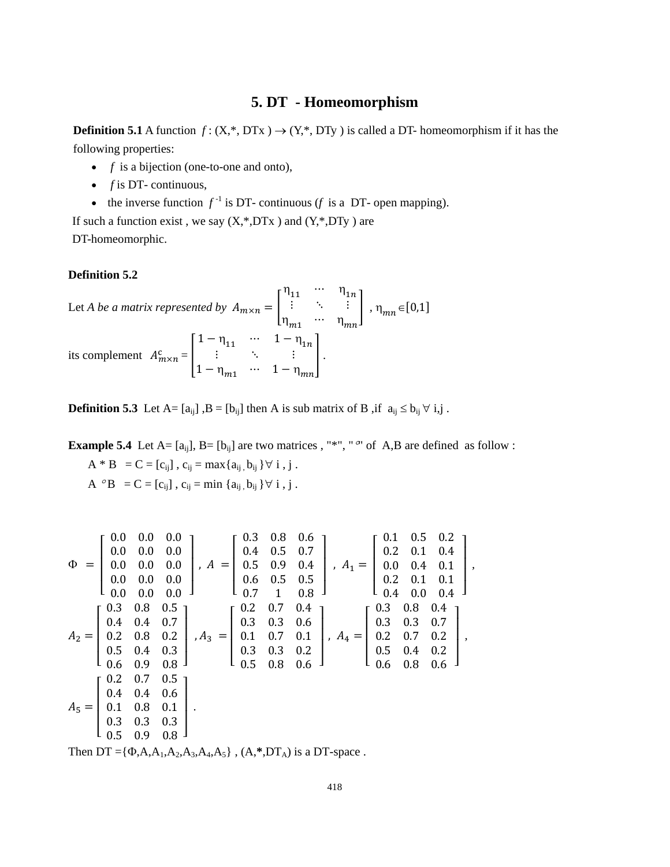## **5. DT - Homeomorphism**

**Definition 5.1** A [function](https://en.wikipedia.org/wiki/Function_(mathematics))  $f: (X,*, DTX) \rightarrow (Y,*, DTY)$  is called a DT- homeomorphism if it has the following properties:

- *f* is a [bijection](https://en.wikipedia.org/wiki/Bijection) [\(one-to-one](https://en.wikipedia.org/wiki/Injective_function) and [onto\)](https://en.wikipedia.org/wiki/Onto),
- *f* is DT- [continuous,](https://en.wikipedia.org/wiki/Continuity_(topology))
- the [inverse function](https://en.wikipedia.org/wiki/Inverse_function)  $f^{-1}$  is DT- continuous (*f* is a DT- [open mapping\)](https://en.wikipedia.org/wiki/Open_mapping).

If such a function exist, we say  $(X,*,DTX)$  and  $(Y,*,DTY)$  are DT-homeomorphic.

#### **Definition 5.2**

Let *A* be a matrix represented by 
$$
A_{m \times n} = \begin{bmatrix} \eta_{11} & \cdots & \eta_{1n} \\ \vdots & \ddots & \vdots \\ \eta_{m1} & \cdots & \eta_{mn} \end{bmatrix}
$$
,  $\eta_{mn} \in [0,1]$   
its complement  $A_{m \times n}^c = \begin{bmatrix} 1 - \eta_{11} & \cdots & 1 - \eta_{1n} \\ \vdots & \ddots & \vdots \\ 1 - \eta_{m1} & \cdots & 1 - \eta_{mn} \end{bmatrix}$ .

**Definition 5.3** Let A=  $[a_{ij}]$ , B =  $[b_{ij}]$  then A is sub matrix of B , if  $a_{ij} \le b_{ij} \forall i, j$ .

**Example 5.4** Let  $A = [a_{ij}]$ ,  $B = [b_{ij}]$  are two matrices, "\*", " or  $A, B$  are defined as follow :

A \* B = C = [c<sub>ij</sub>], c<sub>ij</sub> = max{ $a_{ij}$ ,  $b_{ij}$ } $\forall i$ , j. A  $^{\circ}B = C = [c_{ij}]$ ,  $c_{ij} = \min \{a_{ij}, b_{ij}\} \forall i, j$ .

Φ = ⎣ ⎢ ⎢ ⎢ <sup>⎡</sup> 0.0 0.0 0.0 0.0 0.0 0.0 0.0 0.0 0.0 0.0 0.0 0.0 0.0 0.0 0.0 ⎦ ⎥ ⎥ ⎥ ⎤ , = ⎣ ⎢ ⎢ ⎢ <sup>⎡</sup> 0.3 0.8 0.6 0.4 0.5 0.7 0.5 0.9 0.4 0.6 0.5 0.5 0.7 1 0.8 ⎦ ⎥ ⎥ ⎥ ⎤ , 1 = ⎣ ⎢ ⎢ ⎢ <sup>⎡</sup> 0.1 0.5 0.2 0.2 0.1 0.4 0.0 0.4 0.1 0.2 0.1 0.1 0.4 0.0 0.4 ⎦ ⎥ ⎥ ⎥ ⎤ *,* 2 = ⎣ ⎢ ⎢ ⎢ <sup>⎡</sup> 0.3 0.8 0.5 0.4 0.4 0.7 0.2 0.8 0.2 0.5 0.4 0.3 0.6 0.9 0.8 ⎦ ⎥ ⎥ ⎥ ⎤ , 3 = ⎣ ⎢ ⎢ ⎢ <sup>⎡</sup> 0.2 0.7 0.4 0.3 0.3 0.6 0.1 0.7 0.1 0.3 0.3 0.2 0.5 0.8 0.6 ⎦ ⎥ ⎥ ⎥ ⎤ , 4 = ⎣ ⎢ ⎢ ⎢ <sup>⎡</sup> 0.3 0.8 0.4 0.3 0.3 0.7 0.2 0.7 0.2 0.5 0.4 0.2 0.6 0.8 0.6 ⎦ ⎥ ⎥ ⎥ ⎤ *,* 5 = ⎣ ⎢ ⎢ ⎢ <sup>⎡</sup> 0.2 0.7 0.5 0.4 0.4 0.6 0.1 0.8 0.1 0.3 0.3 0.3 0.5 0.9 0.8 ⎦ ⎥ ⎥ ⎥ ⎤  *.*

Then  $DT = {\Phi, A, A_1, A_2, A_3, A_4, A_5}$ ,  $(A, * , DT_A)$  is a DT-space.